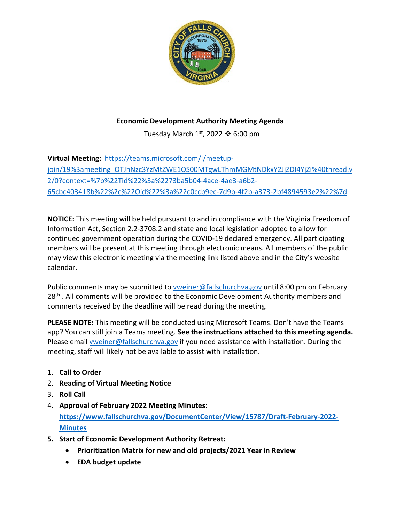

## **Economic Development Authority Meeting Agenda**

Tuesday March  $1<sup>st</sup>$ , 2022  $\clubsuit$  6:00 pm

**Virtual Meeting:** [https://teams.microsoft.com/l/meetup](https://teams.microsoft.com/l/meetup-join/19%3ameeting_OTJhNzc3YzMtZWE1OS00MTgwLThmMGMtNDkxY2JjZDI4YjZi%40thread.v2/0?context=%7b%22Tid%22%3a%2273ba5b04-4ace-4ae3-a6b2-65cbc403418b%22%2c%22Oid%22%3a%22c0ccb9ec-7d9b-4f2b-a373-2bf4894593e2%22%7d)[join/19%3ameeting\\_OTJhNzc3YzMtZWE1OS00MTgwLThmMGMtNDkxY2JjZDI4YjZi%40thread.v](https://teams.microsoft.com/l/meetup-join/19%3ameeting_OTJhNzc3YzMtZWE1OS00MTgwLThmMGMtNDkxY2JjZDI4YjZi%40thread.v2/0?context=%7b%22Tid%22%3a%2273ba5b04-4ace-4ae3-a6b2-65cbc403418b%22%2c%22Oid%22%3a%22c0ccb9ec-7d9b-4f2b-a373-2bf4894593e2%22%7d) [2/0?context=%7b%22Tid%22%3a%2273ba5b04-4ace-4ae3-a6b2-](https://teams.microsoft.com/l/meetup-join/19%3ameeting_OTJhNzc3YzMtZWE1OS00MTgwLThmMGMtNDkxY2JjZDI4YjZi%40thread.v2/0?context=%7b%22Tid%22%3a%2273ba5b04-4ace-4ae3-a6b2-65cbc403418b%22%2c%22Oid%22%3a%22c0ccb9ec-7d9b-4f2b-a373-2bf4894593e2%22%7d) [65cbc403418b%22%2c%22Oid%22%3a%22c0ccb9ec-7d9b-4f2b-a373-2bf4894593e2%22%7d](https://teams.microsoft.com/l/meetup-join/19%3ameeting_OTJhNzc3YzMtZWE1OS00MTgwLThmMGMtNDkxY2JjZDI4YjZi%40thread.v2/0?context=%7b%22Tid%22%3a%2273ba5b04-4ace-4ae3-a6b2-65cbc403418b%22%2c%22Oid%22%3a%22c0ccb9ec-7d9b-4f2b-a373-2bf4894593e2%22%7d)

**NOTICE:** This meeting will be held pursuant to and in compliance with the Virginia Freedom of Information Act, Section 2.2-3708.2 and state and local legislation adopted to allow for continued government operation during the COVID-19 declared emergency. All participating members will be present at this meeting through electronic means. All members of the public may view this electronic meeting via the meeting link listed above and in the City's website calendar.

Public comments may be submitted to [vweiner@fallschurchva.gov](mailto:vweiner@fallschurchva.gov) until 8:00 pm on February 28<sup>th</sup>. All comments will be provided to the Economic Development Authority members and comments received by the deadline will be read during the meeting.

**PLEASE NOTE:** This meeting will be conducted using Microsoft Teams. Don't have the Teams app? You can still join a Teams meeting. **See the instructions attached to this meeting agenda.**  Please email [vweiner@fallschurchva.gov](mailto:vweiner@fallschurchva.gov) if you need assistance with installation. During the meeting, staff will likely not be available to assist with installation.

- 1. **Call to Order**
- 2. **Reading of Virtual Meeting Notice**
- 3. **Roll Call**
- 4. **Approval of February 2022 Meeting Minutes: [https://www.fallschurchva.gov/DocumentCenter/View/15787/Draft-February-2022-](https://www.fallschurchva.gov/DocumentCenter/View/15787/Draft-February-2022-Minutes) [Minutes](https://www.fallschurchva.gov/DocumentCenter/View/15787/Draft-February-2022-Minutes)**
- **5. Start of Economic Development Authority Retreat:**
	- **Prioritization Matrix for new and old projects/2021 Year in Review**
	- **EDA budget update**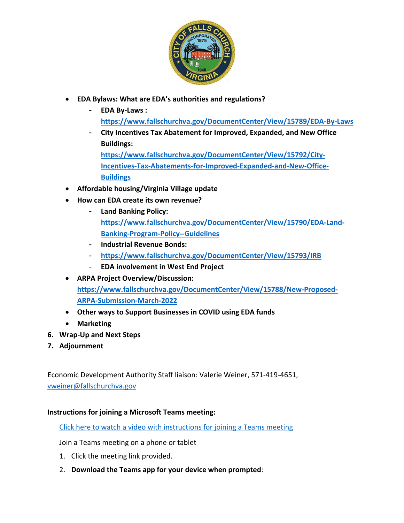

- **EDA Bylaws: What are EDA's authorities and regulations?** 
	- **EDA By-Laws : <https://www.fallschurchva.gov/DocumentCenter/View/15789/EDA-By-Laws>**
	- **City Incentives Tax Abatement for Improved, Expanded, and New Office Buildings:**

**[https://www.fallschurchva.gov/DocumentCenter/View/15792/City-](https://www.fallschurchva.gov/DocumentCenter/View/15792/City-Incentives-Tax-Abatements-for-Improved-Expanded-and-New-Office-Buildings)[Incentives-Tax-Abatements-for-Improved-Expanded-and-New-Office-](https://www.fallschurchva.gov/DocumentCenter/View/15792/City-Incentives-Tax-Abatements-for-Improved-Expanded-and-New-Office-Buildings)[Buildings](https://www.fallschurchva.gov/DocumentCenter/View/15792/City-Incentives-Tax-Abatements-for-Improved-Expanded-and-New-Office-Buildings)**

- **Affordable housing/Virginia Village update**
- **How can EDA create its own revenue?** 
	- **Land Banking Policy: [https://www.fallschurchva.gov/DocumentCenter/View/15790/EDA-Land-](https://www.fallschurchva.gov/DocumentCenter/View/15790/EDA-Land-Banking-Program-Policy--Guidelines)[Banking-Program-Policy--Guidelines](https://www.fallschurchva.gov/DocumentCenter/View/15790/EDA-Land-Banking-Program-Policy--Guidelines)**
	- **Industrial Revenue Bonds:**
	- **<https://www.fallschurchva.gov/DocumentCenter/View/15793/IRB>**
	- **EDA involvement in West End Project**
- **ARPA Project Overview/Discussion: [https://www.fallschurchva.gov/DocumentCenter/View/15788/New-Proposed-](https://www.fallschurchva.gov/DocumentCenter/View/15788/New-Proposed-ARPA-Submission-March-2022)[ARPA-Submission-March-2022](https://www.fallschurchva.gov/DocumentCenter/View/15788/New-Proposed-ARPA-Submission-March-2022)**
- **Other ways to Support Businesses in COVID using EDA funds**
- **Marketing**
- **6. Wrap-Up and Next Steps**
- **7. Adjournment**

Economic Development Authority Staff liaison: Valerie Weiner, 571-419-4651, [vweiner@fallschurchva.gov](mailto:vweiner@fallschurchva.gov)

## **Instructions for joining a Microsoft Teams meeting:**

[Click here to watch a video with instructions for joining a Teams meeting](https://www.microsoft.com/en-us/videoplayer/embed/RE3Oz24?pid=ocpVideo0-innerdiv-oneplayer&postJsllMsg=true&maskLevel=20&market=en-us)

## Join a Teams meeting on a phone or tablet

- 1. Click the meeting link provided.
- 2. **Download the Teams app for your device when prompted**: